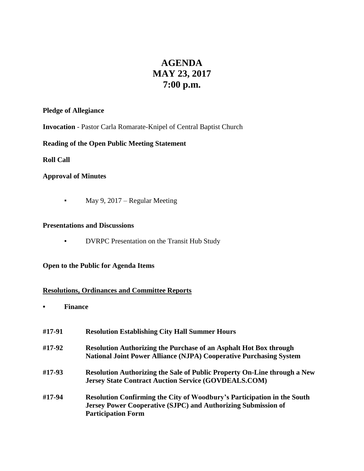# **AGENDA MAY 23, 2017 7:00 p.m.**

# **Pledge of Allegiance**

**Invocation** - Pastor Carla Romarate-Knipel of Central Baptist Church

# **Reading of the Open Public Meeting Statement**

## **Roll Call**

## **Approval of Minutes**

• May 9, 2017 – Regular Meeting

#### **Presentations and Discussions**

▪ DVRPC Presentation on the Transit Hub Study

# **Open to the Public for Agenda Items**

# **Resolutions, Ordinances and Committee Reports**

**• Finance** 

| #17-91 | <b>Resolution Establishing City Hall Summer Hours</b>                                                                                                                        |
|--------|------------------------------------------------------------------------------------------------------------------------------------------------------------------------------|
| #17-92 | <b>Resolution Authorizing the Purchase of an Asphalt Hot Box through</b><br><b>National Joint Power Alliance (NJPA) Cooperative Purchasing System</b>                        |
| #17-93 | Resolution Authorizing the Sale of Public Property On-Line through a New<br><b>Jersey State Contract Auction Service (GOVDEALS.COM)</b>                                      |
| #17-94 | Resolution Confirming the City of Woodbury's Participation in the South<br><b>Jersey Power Cooperative (SJPC) and Authorizing Submission of</b><br><b>Participation Form</b> |